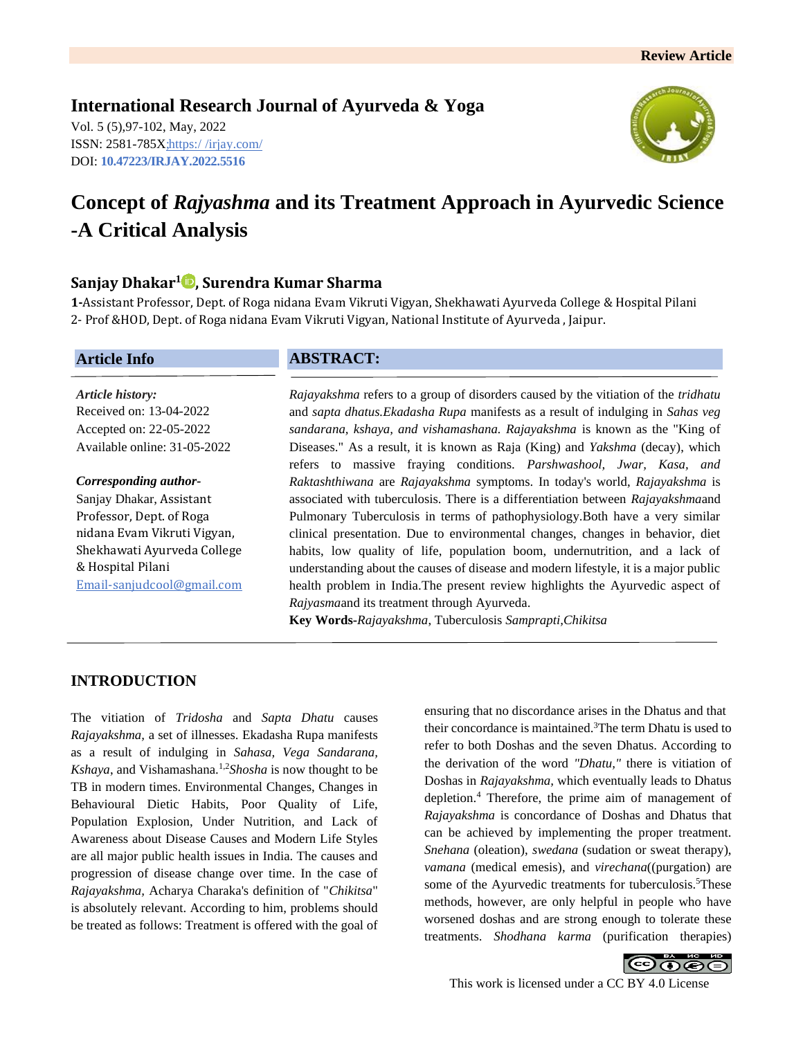# **International Research Journal of Ayurveda & Yoga**

Vol. 5 (5),97-102, May, 2022 ISSN: 2581-785X; https:/ [/irjay.com/](https://irjay.com/) DOI: **10.47223/IRJAY.2022.5516**



# **Concept of** *Rajyashma* **and its Treatment Approach in Ayurvedic Science -A Critical Analysis**

# **Sanjay Dhakar<sup>1</sup> , Surendra Kumar Sharma**

**1-**Assistant Professor, Dept. of Roga nidana Evam Vikruti Vigyan, Shekhawati Ayurveda College & Hospital Pilani 2- Prof &HOD, Dept. of Roga nidana Evam Vikruti Vigyan, National Institute of Ayurveda , Jaipur.

#### **Article Info**

*Article history:* Received on: 13-04-2022 Accepted on: 22-05-2022 Available online: 31-05-2022

#### *Corresponding author-*

Sanjay Dhakar, Assistant Professor, Dept. of Roga nidana Evam Vikruti Vigyan, Shekhawati Ayurveda College & Hospital Pilani Email-sanjudcool@gmail.com

## **ABSTRACT:**

*Rajayakshma* refers to a group of disorders caused by the vitiation of the *tridhatu* and *sapta dhatus.Ekadasha Rupa* manifests as a result of indulging in *Sahas veg sandarana, kshaya, and vishamashana. Rajayakshma* is known as the "King of Diseases." As a result, it is known as Raja (King) and *Yakshma* (decay), which refers to massive fraying conditions. *Parshwashool, Jwar, Kasa, and Raktashthiwana* are *Rajayakshma* symptoms. In today's world, *Rajayakshma* is associated with tuberculosis. There is a differentiation between *Rajayakshma*and Pulmonary Tuberculosis in terms of pathophysiology.Both have a very similar clinical presentation. Due to environmental changes, changes in behavior, diet habits, low quality of life, population boom, undernutrition, and a lack of understanding about the causes of disease and modern lifestyle, it is a major public health problem in India.The present review highlights the Ayurvedic aspect of *Rajyasma*and its treatment through Ayurveda.

**Key Words-***Rajayakshma*, Tuberculosis *Samprapti,Chikitsa*

# **INTRODUCTION**

The vitiation of *Tridosha* and *Sapta Dhatu* causes *Rajayakshma,* a set of illnesses. Ekadasha Rupa manifests as a result of indulging in *Sahasa, Vega Sandarana, Kshaya*, and Vishamashana.<sup>1,2</sup>*Shosha* is now thought to be TB in modern times. Environmental Changes, Changes in Behavioural Dietic Habits, Poor Quality of Life, Population Explosion, Under Nutrition, and Lack of Awareness about Disease Causes and Modern Life Styles are all major public health issues in India. The causes and progression of disease change over time. In the case of *Rajayakshma,* Acharya Charaka's definition of "*Chikitsa*" is absolutely relevant. According to him, problems should be treated as follows: Treatment is offered with the goal of ensuring that no discordance arises in the Dhatus and that their concordance is maintained.<sup>3</sup>The term Dhatu is used to refer to both Doshas and the seven Dhatus. According to the derivation of the word *"Dhatu,"* there is vitiation of Doshas in *Rajayakshma,* which eventually leads to Dhatus depletion.<sup>4</sup> Therefore, the prime aim of management of *Rajayakshma* is concordance of Doshas and Dhatus that can be achieved by implementing the proper treatment. *Snehana* (oleation), *swedana* (sudation or sweat therapy), *vamana* (medical emesis), and *virechana*((purgation) are some of the Ayurvedic treatments for tuberculosis.<sup>5</sup>These methods, however, are only helpful in people who have worsened doshas and are strong enough to tolerate these treatments. *Shodhana karma* (purification therapies)

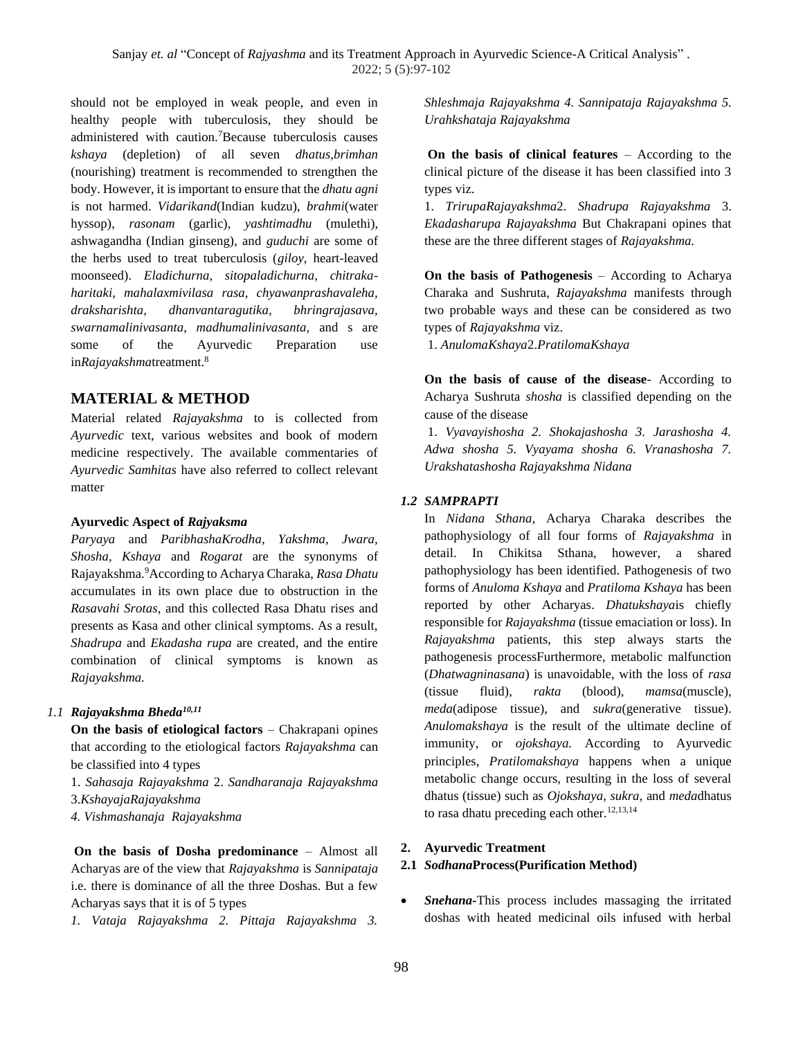should not be employed in weak people, and even in healthy people with tuberculosis, they should be administered with caution.<sup>7</sup>Because tuberculosis causes *kshaya* (depletion) of all seven *dhatus,brimhan* (nourishing) treatment is recommended to strengthen the body. However, it is important to ensure that the *dhatu agni* is not harmed. *Vidarikand*(Indian kudzu), *brahmi*(water hyssop), *rasonam* (garlic), *yashtimadhu* (mulethi), ashwagandha (Indian ginseng), and *guduchi* are some of the herbs used to treat tuberculosis (*giloy*, heart-leaved moonseed). *Eladichurna, sitopaladichurna, chitrakaharitaki, mahalaxmivilasa rasa, chyawanprashavaleha, draksharishta, dhanvantaragutika, bhringrajasava, swarnamalinivasanta, madhumalinivasanta,* and s are some of the Ayurvedic Preparation use in*Rajayakshma*treatment.<sup>8</sup>

# **MATERIAL & METHOD**

Material related *Rajayakshma* to is collected from *Ayurvedic* text, various websites and book of modern medicine respectively. The available commentaries of *Ayurvedic Samhitas* have also referred to collect relevant matter

#### **Ayurvedic Aspect of** *Rajyaksma*

*Paryaya* and *ParibhashaKrodha, Yakshma, Jwara, Shosha, Kshaya* and *Rogarat* are the synonyms of Rajayakshma.<sup>9</sup>According to Acharya Charaka, *Rasa Dhatu* accumulates in its own place due to obstruction in the *Rasavahi Srotas*, and this collected Rasa Dhatu rises and presents as Kasa and other clinical symptoms. As a result, *Shadrupa* and *Ekadasha rupa* are created, and the entire combination of clinical symptoms is known as *Rajayakshma.*

## *1.1 Rajayakshma Bheda10,11*

**On the basis of etiological factors** – Chakrapani opines that according to the etiological factors *Rajayakshma* can be classified into 4 types

- 1. *Sahasaja Rajayakshma* 2. *Sandharanaja Rajayakshma*
- 3.*KshayajaRajayakshma*
- *4. Vishmashanaja Rajayakshma*

**On the basis of Dosha predominance** – Almost all Acharyas are of the view that *Rajayakshma* is *Sannipataja*  i.e. there is dominance of all the three Doshas. But a few Acharyas says that it is of 5 types

*1. Vataja Rajayakshma 2. Pittaja Rajayakshma 3.* 

*Shleshmaja Rajayakshma 4. Sannipataja Rajayakshma 5. Urahkshataja Rajayakshma*

**On the basis of clinical features** – According to the clinical picture of the disease it has been classified into 3 types viz.

1. *TrirupaRajayakshma*2. *Shadrupa Rajayakshma* 3. *Ekadasharupa Rajayakshma* But Chakrapani opines that these are the three different stages of *Rajayakshma.*

**On the basis of Pathogenesis** – According to Acharya Charaka and Sushruta, *Rajayakshma* manifests through two probable ways and these can be considered as two types of *Rajayakshma* viz.

1. *AnulomaKshaya*2.*PratilomaKshaya*

**On the basis of cause of the disease**- According to Acharya Sushruta *shosha* is classified depending on the cause of the disease

1. *Vyavayishosha 2. Shokajashosha 3. Jarashosha 4. Adwa shosha 5. Vyayama shosha 6. Vranashosha 7. Urakshatashosha Rajayakshma Nidana*

## *1.2 SAMPRAPTI*

In *Nidana Sthana*, Acharya Charaka describes the pathophysiology of all four forms of *Rajayakshma* in detail. In Chikitsa Sthana, however, a shared pathophysiology has been identified. Pathogenesis of two forms of *Anuloma Kshaya* and *Pratiloma Kshaya* has been reported by other Acharyas. *Dhatukshaya*is chiefly responsible for *Rajayakshma* (tissue emaciation or loss). In *Rajayakshma* patients, this step always starts the pathogenesis processFurthermore, metabolic malfunction (*Dhatwagninasana*) is unavoidable, with the loss of *rasa*  (tissue fluid), *rakta* (blood), *mamsa*(muscle), *meda*(adipose tissue), and *sukra*(generative tissue). *Anulomakshaya* is the result of the ultimate decline of immunity, or *ojokshaya.* According to Ayurvedic principles, *Pratilomakshaya* happens when a unique metabolic change occurs, resulting in the loss of several dhatus (tissue) such as *Ojokshaya, sukra*, and *meda*dhatus to rasa dhatu preceding each other. $12,13,14$ 

## **2. Ayurvedic Treatment**

## **2.1** *Sodhana***Process(Purification Method)**

• *Snehana-*This process includes massaging the irritated doshas with heated medicinal oils infused with herbal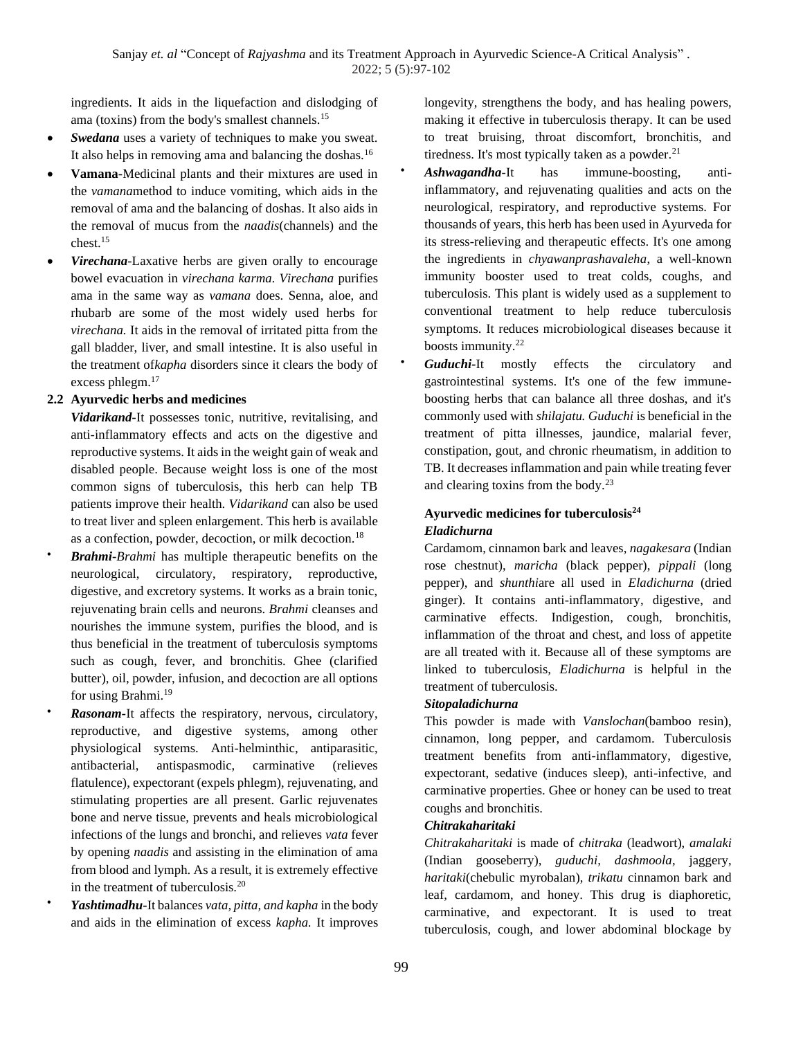ingredients. It aids in the liquefaction and dislodging of ama (toxins) from the body's smallest channels.<sup>15</sup>

- Swedana uses a variety of techniques to make you sweat. It also helps in removing ama and balancing the doshas.<sup>16</sup>
- **Vamana**-Medicinal plants and their mixtures are used in the *vamana*method to induce vomiting, which aids in the removal of ama and the balancing of doshas. It also aids in the removal of mucus from the *naadis*(channels) and the chest.<sup>15</sup>
- *Virechana-*Laxative herbs are given orally to encourage bowel evacuation in *virechana karma. Virechana* purifies ama in the same way as *vamana* does. Senna, aloe, and rhubarb are some of the most widely used herbs for *virechana.* It aids in the removal of irritated pitta from the gall bladder, liver, and small intestine. It is also useful in the treatment of*kapha* disorders since it clears the body of excess phlegm.<sup>17</sup>

## **2.2 Ayurvedic herbs and medicines**

*Vidarikand-*It possesses tonic, nutritive, revitalising, and anti-inflammatory effects and acts on the digestive and reproductive systems. It aids in the weight gain of weak and disabled people. Because weight loss is one of the most common signs of tuberculosis, this herb can help TB patients improve their health. *Vidarikand* can also be used to treat liver and spleen enlargement. This herb is available as a confection, powder, decoction, or milk decoction.<sup>18</sup>

- *Brahmi***-***Brahmi* has multiple therapeutic benefits on the neurological, circulatory, respiratory, reproductive, digestive, and excretory systems. It works as a brain tonic, rejuvenating brain cells and neurons. *Brahmi* cleanses and nourishes the immune system, purifies the blood, and is thus beneficial in the treatment of tuberculosis symptoms such as cough, fever, and bronchitis. Ghee (clarified butter), oil, powder, infusion, and decoction are all options for using Brahmi.<sup>19</sup>
- *Rasonam-*It affects the respiratory, nervous, circulatory, reproductive, and digestive systems, among other physiological systems. Anti-helminthic, antiparasitic, antibacterial, antispasmodic, carminative (relieves flatulence), expectorant (expels phlegm), rejuvenating, and stimulating properties are all present. Garlic rejuvenates bone and nerve tissue, prevents and heals microbiological infections of the lungs and bronchi, and relieves *vata* fever by opening *naadis* and assisting in the elimination of ama from blood and lymph. As a result, it is extremely effective in the treatment of tuberculosis.<sup>20</sup>

• *Yashtimadhu***-**It balances *vata, pitta, and kapha* in the body and aids in the elimination of excess *kapha.* It improves longevity, strengthens the body, and has healing powers, making it effective in tuberculosis therapy. It can be used to treat bruising, throat discomfort, bronchitis, and tiredness. It's most typically taken as a powder. $2<sup>1</sup>$ 

- *Ashwagandha*-It has immune-boosting, antiinflammatory, and rejuvenating qualities and acts on the neurological, respiratory, and reproductive systems. For thousands of years, this herb has been used in Ayurveda for its stress-relieving and therapeutic effects. It's one among the ingredients in *chyawanprashavaleha*, a well-known immunity booster used to treat colds, coughs, and tuberculosis. This plant is widely used as a supplement to conventional treatment to help reduce tuberculosis symptoms. It reduces microbiological diseases because it boosts immunity. $22$
- *Guduchi-It* mostly effects the circulatory and gastrointestinal systems. It's one of the few immuneboosting herbs that can balance all three doshas, and it's commonly used with *shilajatu. Guduchi* is beneficial in the treatment of pitta illnesses, jaundice, malarial fever, constipation, gout, and chronic rheumatism, in addition to TB. It decreases inflammation and pain while treating fever and clearing toxins from the body.<sup>23</sup>

# **Ayurvedic medicines for tuberculosis<sup>24</sup>** *Eladichurna*

Cardamom, cinnamon bark and leaves, *nagakesara* (Indian rose chestnut), *maricha* (black pepper), *pippali* (long pepper), and *shunthi*are all used in *Eladichurna* (dried ginger). It contains anti-inflammatory, digestive, and carminative effects. Indigestion, cough, bronchitis, inflammation of the throat and chest, and loss of appetite are all treated with it. Because all of these symptoms are linked to tuberculosis*, Eladichurna* is helpful in the treatment of tuberculosis.

## *Sitopaladichurna*

This powder is made with *Vanslochan*(bamboo resin), cinnamon, long pepper, and cardamom. Tuberculosis treatment benefits from anti-inflammatory, digestive, expectorant, sedative (induces sleep), anti-infective, and carminative properties. Ghee or honey can be used to treat coughs and bronchitis.

## *Chitrakaharitaki*

*Chitrakaharitaki* is made of *chitraka* (leadwort), *amalaki* (Indian gooseberry), *guduchi, dashmoola*, jaggery, *haritaki*(chebulic myrobalan), *trikatu* cinnamon bark and leaf, cardamom, and honey. This drug is diaphoretic, carminative, and expectorant. It is used to treat tuberculosis, cough, and lower abdominal blockage by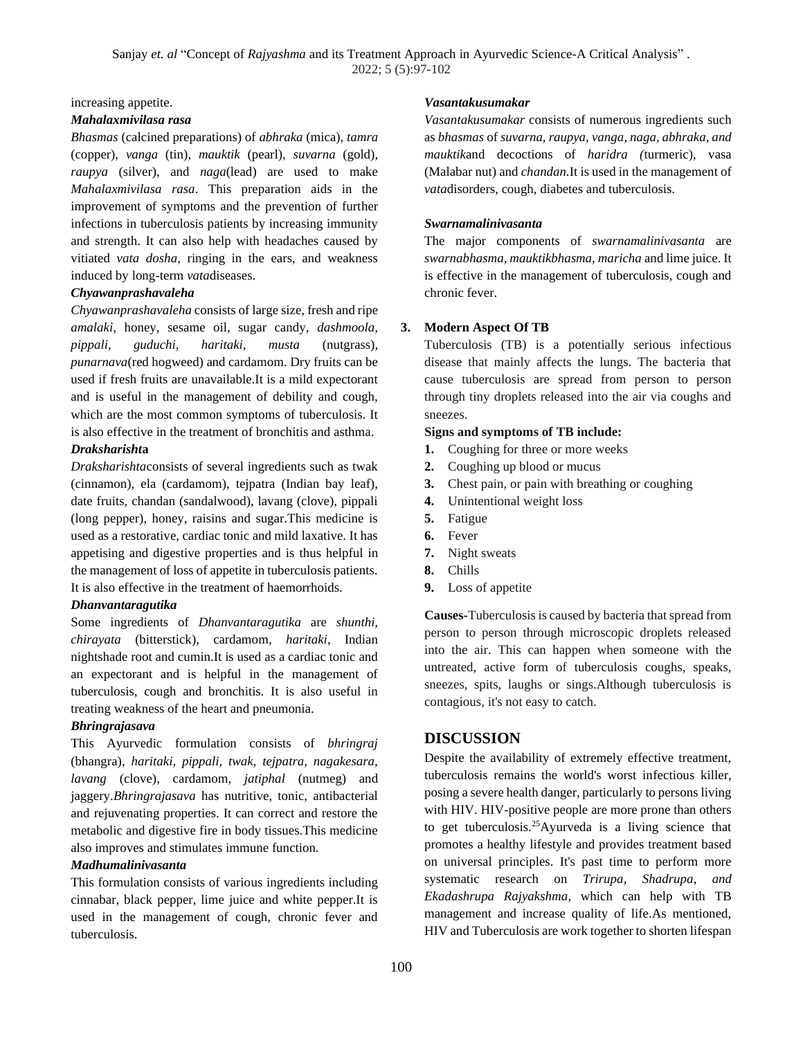Sanjay *et. al* "Concept of *Rajyashma* and its Treatment Approach in Ayurvedic Science-A Critical Analysis". 2022; 5 (5):97-102

increasing appetite.

#### *Mahalaxmivilasa rasa*

*Bhasmas* (calcined preparations) of *abhraka* (mica), *tamra* (copper), *vanga* (tin), *mauktik* (pearl), *suvarna* (gold), *raupya* (silver), and *naga*(lead) are used to make *Mahalaxmivilasa rasa*. This preparation aids in the improvement of symptoms and the prevention of further infections in tuberculosis patients by increasing immunity and strength. It can also help with headaches caused by vitiated *vata dosha*, ringing in the ears, and weakness induced by long-term *vata*diseases.

#### *Chyawanprashavaleha*

*Chyawanprashavaleha* consists of large size, fresh and ripe *amalaki,* honey, sesame oil, sugar candy, *dashmoola, pippali, guduchi, haritaki, musta* (nutgrass), *punarnava*(red hogweed) and cardamom. Dry fruits can be used if fresh fruits are unavailable.It is a mild expectorant and is useful in the management of debility and cough, which are the most common symptoms of tuberculosis. It is also effective in the treatment of bronchitis and asthma.

#### *Draksharisht***a**

*Draksharishta*consists of several ingredients such as twak (cinnamon), ela (cardamom), tejpatra (Indian bay leaf), date fruits, chandan (sandalwood), lavang (clove), pippali (long pepper), honey, raisins and sugar.This medicine is used as a restorative, cardiac tonic and mild laxative. It has appetising and digestive properties and is thus helpful in the management of loss of appetite in tuberculosis patients. It is also effective in the treatment of haemorrhoids.

#### *Dhanvantaragutika*

Some ingredients of *Dhanvantaragutika* are *shunthi, chirayata* (bitterstick), cardamom, *haritaki*, Indian nightshade root and cumin.It is used as a cardiac tonic and an expectorant and is helpful in the management of tuberculosis, cough and bronchitis. It is also useful in treating weakness of the heart and pneumonia.

## *Bhringrajasava*

This Ayurvedic formulation consists of *bhringraj* (bhangra), *haritaki, pippali, twak, tejpatra, nagakesara, lavang* (clove), cardamom, *jatiphal* (nutmeg) and jaggery.*Bhringrajasava* has nutritive, tonic, antibacterial and rejuvenating properties. It can correct and restore the metabolic and digestive fire in body tissues.This medicine also improves and stimulates immune function.

#### *Madhumalinivasanta*

This formulation consists of various ingredients including cinnabar, black pepper, lime juice and white pepper.It is used in the management of cough, chronic fever and tuberculosis.

#### *Vasantakusumakar*

*Vasantakusumakar* consists of numerous ingredients such as *bhasmas* of *suvarna, raupya, vanga, naga, abhraka, and mauktik*and decoctions of *haridra (*turmeric), vasa (Malabar nut) and *chandan.*It is used in the management of *vata*disorders, cough, diabetes and tuberculosis.

#### *Swarnamalinivasanta*

The major components of *swarnamalinivasanta* are *swarnabhasma, mauktikbhasma, maricha* and lime juice. It is effective in the management of tuberculosis, cough and chronic fever.

#### **3. Modern Aspect Of TB**

Tuberculosis (TB) is a potentially serious infectious disease that mainly affects the lungs. The bacteria that cause tuberculosis are spread from person to person through tiny droplets released into the air via coughs and sneezes.

#### **Signs and symptoms of TB include:**

- **1.** Coughing for three or more weeks
- **2.** Coughing up blood or mucus
- **3.** Chest pain, or pain with breathing or coughing
- **4.** Unintentional weight loss
- **5.** Fatigue
- **6.** Fever
- **7.** Night sweats
- **8.** Chills
- **9.** Loss of appetite

**Causes-**Tuberculosis is caused by bacteria that spread from person to person through microscopic droplets released into the air. This can happen when someone with the untreated, active form of tuberculosis coughs, speaks, sneezes, spits, laughs or sings.Although tuberculosis is contagious, it's not easy to catch.

## **DISCUSSION**

Despite the availability of extremely effective treatment, tuberculosis remains the world's worst infectious killer, posing a severe health danger, particularly to persons living with HIV. HIV-positive people are more prone than others to get tuberculosis.<sup>25</sup>Ayurveda is a living science that promotes a healthy lifestyle and provides treatment based on universal principles. It's past time to perform more systematic research on *Trirupa, Shadrupa*, *and Ekadashrupa Rajyakshma*, which can help with TB management and increase quality of life.As mentioned, HIV and Tuberculosis are work together to shorten lifespan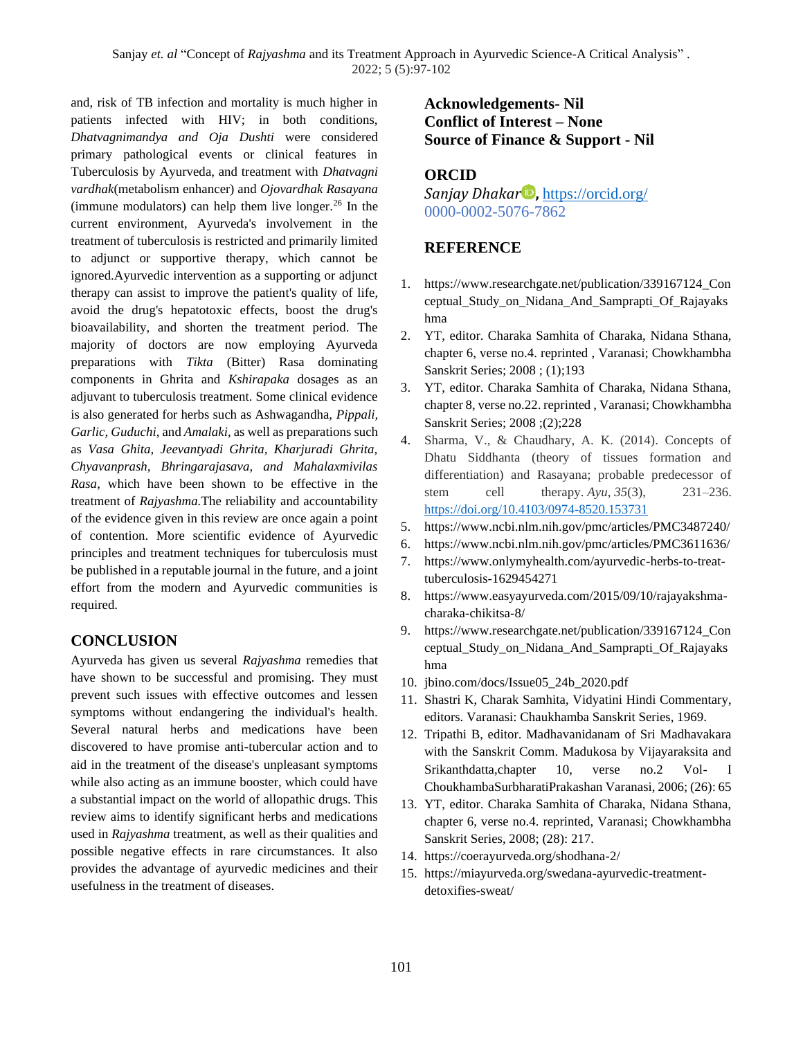and, risk of TB infection and mortality is much higher in patients infected with HIV; in both conditions, *Dhatvagnimandya and Oja Dushti* were considered primary pathological events or clinical features in Tuberculosis by Ayurveda, and treatment with *Dhatvagni vardhak*(metabolism enhancer) and *Ojovardhak Rasayana* (immune modulators) can help them live longer.<sup>26</sup> In the current environment, Ayurveda's involvement in the treatment of tuberculosis is restricted and primarily limited to adjunct or supportive therapy, which cannot be ignored.Ayurvedic intervention as a supporting or adjunct therapy can assist to improve the patient's quality of life, avoid the drug's hepatotoxic effects, boost the drug's bioavailability, and shorten the treatment period. The majority of doctors are now employing Ayurveda preparations with *Tikta* (Bitter) Rasa dominating components in Ghrita and *Kshirapaka* dosages as an adjuvant to tuberculosis treatment. Some clinical evidence is also generated for herbs such as Ashwagandha, *Pippali, Garlic, Guduchi*, and *Amalaki*, as well as preparations such as *Vasa Ghita, Jeevantyadi Ghrita, Kharjuradi Ghrita, Chyavanprash, Bhringarajasava, and Mahalaxmivilas Rasa*, which have been shown to be effective in the treatment of *Rajyashma.*The reliability and accountability of the evidence given in this review are once again a point of contention. More scientific evidence of Ayurvedic principles and treatment techniques for tuberculosis must be published in a reputable journal in the future, and a joint effort from the modern and Ayurvedic communities is required.

# **CONCLUSION**

Ayurveda has given us several *Rajyashma* remedies that have shown to be successful and promising. They must prevent such issues with effective outcomes and lessen symptoms without endangering the individual's health. Several natural herbs and medications have been discovered to have promise anti-tubercular action and to aid in the treatment of the disease's unpleasant symptoms while also acting as an immune booster, which could have a substantial impact on the world of allopathic drugs. This review aims to identify significant herbs and medications used in *Rajyashma* treatment, as well as their qualities and possible negative effects in rare circumstances. It also provides the advantage of ayurvedic medicines and their usefulness in the treatment of diseases.

# **Acknowledgements- Nil Conflict of Interest – None Source of Finance & Support - Nil**

## **ORCID**

*Sanjay Dhakar* **,** <https://orcid.org/> 0000-0002-5076-7862

## **REFERENCE**

- 1. [https://www.researchgate.net/publication/339167124\\_Con](https://www.researchgate.net/publication/339167124_Conceptual_Study_on_Nidana_And_Samprapti_Of_Rajayakshma) [ceptual\\_Study\\_on\\_Nidana\\_And\\_Samprapti\\_Of\\_Rajayaks](https://www.researchgate.net/publication/339167124_Conceptual_Study_on_Nidana_And_Samprapti_Of_Rajayakshma) [hma](https://www.researchgate.net/publication/339167124_Conceptual_Study_on_Nidana_And_Samprapti_Of_Rajayakshma)
- 2. YT, editor. Charaka Samhita of Charaka, Nidana Sthana, chapter 6, verse no.4. reprinted , Varanasi; Chowkhambha Sanskrit Series; 2008 ; (1);193
- 3. YT, editor. Charaka Samhita of Charaka, Nidana Sthana, chapter 8, verse no.22. reprinted , Varanasi; Chowkhambha Sanskrit Series; 2008 ;(2);228
- 4. Sharma, V., & Chaudhary, A. K. (2014). Concepts of Dhatu Siddhanta (theory of tissues formation and differentiation) and Rasayana; probable predecessor of stem cell therapy. *Ayu*, 35(3), 231–236. <https://doi.org/10.4103/0974-8520.153731>
- 5. <https://www.ncbi.nlm.nih.gov/pmc/articles/PMC3487240/>
- 6. <https://www.ncbi.nlm.nih.gov/pmc/articles/PMC3611636/>
- 7. [https://www.onlymyhealth.com/ayurvedic-herbs-to-treat](https://www.onlymyhealth.com/ayurvedic-herbs-to-treat-tuberculosis-1629454271)[tuberculosis-1629454271](https://www.onlymyhealth.com/ayurvedic-herbs-to-treat-tuberculosis-1629454271)
- 8. [https://www.easyayurveda.com/2015/09/10/rajayakshma](https://www.easyayurveda.com/2015/09/10/rajayakshma-charaka-chikitsa-8/)[charaka-chikitsa-8/](https://www.easyayurveda.com/2015/09/10/rajayakshma-charaka-chikitsa-8/)
- 9. [https://www.researchgate.net/publication/339167124\\_Con](https://www.researchgate.net/publication/339167124_Conceptual_Study_on_Nidana_And_Samprapti_Of_Rajayakshma) [ceptual\\_Study\\_on\\_Nidana\\_And\\_Samprapti\\_Of\\_Rajayaks](https://www.researchgate.net/publication/339167124_Conceptual_Study_on_Nidana_And_Samprapti_Of_Rajayakshma) [hma](https://www.researchgate.net/publication/339167124_Conceptual_Study_on_Nidana_And_Samprapti_Of_Rajayakshma)
- 10. jbino.com/docs/Issue05\_24b\_2020.pdf
- 11. Shastri K, Charak Samhita, Vidyatini Hindi Commentary, editors. Varanasi: Chaukhamba Sanskrit Series, 1969.
- 12. Tripathi B, editor. Madhavanidanam of Sri Madhavakara with the Sanskrit Comm. Madukosa by Vijayaraksita and Srikanthdatta,chapter 10, verse no.2 Vol- I ChoukhambaSurbharatiPrakashan Varanasi, 2006; (26): 65
- 13. YT, editor. Charaka Samhita of Charaka, Nidana Sthana, chapter 6, verse no.4. reprinted, Varanasi; Chowkhambha Sanskrit Series, 2008; (28): 217.
- 14. <https://coerayurveda.org/shodhana-2/>
- 15. [https://miayurveda.org/swedana-ayurvedic-treatment](https://miayurveda.org/swedana-ayurvedic-treatment-detoxifies-sweat/)[detoxifies-sweat/](https://miayurveda.org/swedana-ayurvedic-treatment-detoxifies-sweat/)